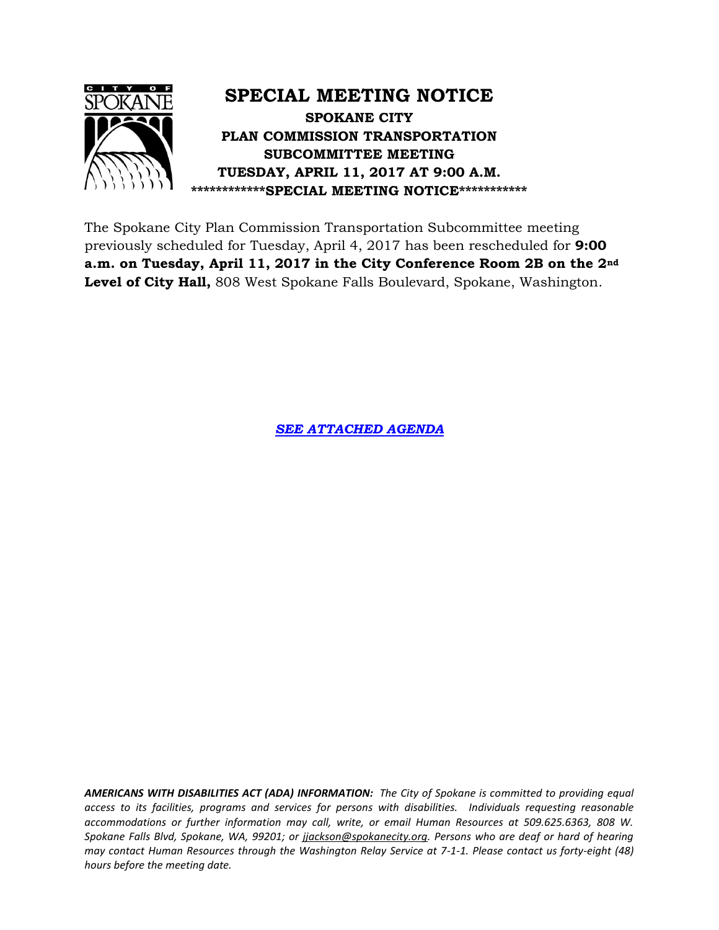

The Spokane City Plan Commission Transportation Subcommittee meeting previously scheduled for Tuesday, April 4, 2017 has been rescheduled for **9:00 a.m. on Tuesday, April 11, 2017 in the City Conference Room 2B on the 2nd Level of City Hall,** 808 West Spokane Falls Boulevard, Spokane, Washington.

*[SEE ATTACHED AGENDA](#page-1-0)*

*AMERICANS WITH DISABILITIES ACT (ADA) INFORMATION: The City of Spokane is committed to providing equal access to its facilities, programs and services for persons with disabilities. Individuals requesting reasonable accommodations or further information may call, write, or email Human Resources at 509.625.6363, 808 W. Spokane Falls Blvd, Spokane, WA, 99201; or [jjackson@spokanecity.org.](mailto:jjackson@spokanecity.org) Persons who are deaf or hard of hearing may contact Human Resources through the Washington Relay Service at 7-1-1. Please contact us forty-eight (48) hours before the meeting date.*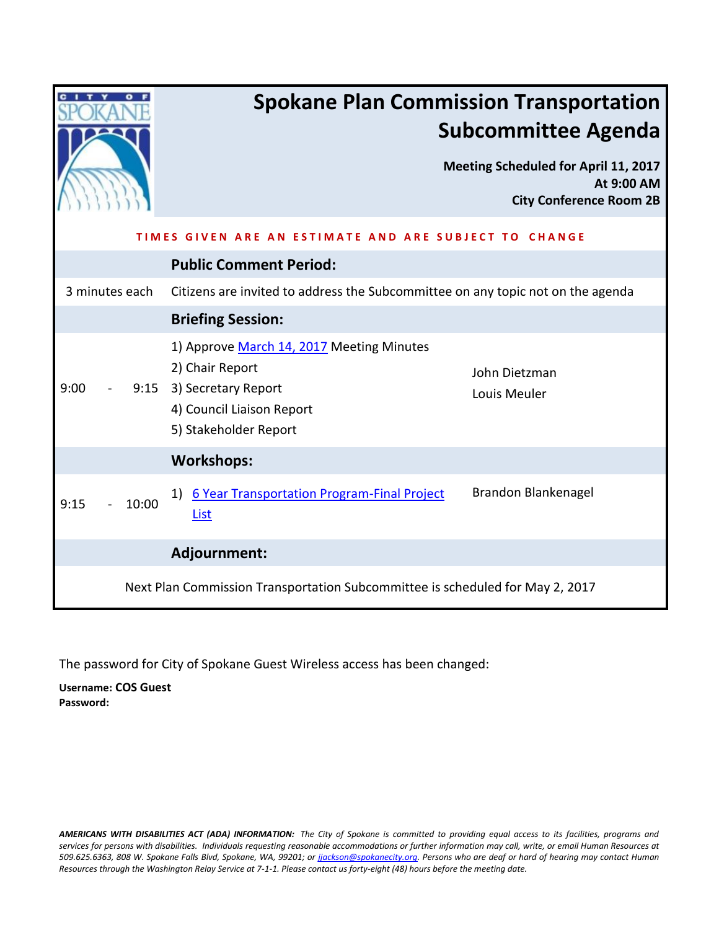<span id="page-1-0"></span>

|                | <b>Spokane Plan Commission Transportation</b><br><b>Subcommittee Agenda</b><br>Meeting Scheduled for April 11, 2017<br>At 9:00 AM<br><b>City Conference Room 2B</b>             |
|----------------|---------------------------------------------------------------------------------------------------------------------------------------------------------------------------------|
|                | TIMES GIVEN ARE AN ESTIMATE AND ARE SUBJECT TO CHANGE                                                                                                                           |
|                | <b>Public Comment Period:</b>                                                                                                                                                   |
| 3 minutes each | Citizens are invited to address the Subcommittee on any topic not on the agenda                                                                                                 |
|                | <b>Briefing Session:</b>                                                                                                                                                        |
| 9:00           | 1) Approve March 14, 2017 Meeting Minutes<br>2) Chair Report<br>John Dietzman<br>9:15 3) Secretary Report<br>Louis Meuler<br>4) Council Liaison Report<br>5) Stakeholder Report |
|                | <b>Workshops:</b>                                                                                                                                                               |
| 10:00<br>9:15  | Brandon Blankenagel<br>6 Year Transportation Program-Final Project<br>1)<br>List                                                                                                |
|                | Adjournment:                                                                                                                                                                    |
|                | Next Plan Commission Transportation Subcommittee is scheduled for May 2, 2017                                                                                                   |

The password for City of Spokane Guest Wireless access has been changed:

**Username: COS Guest Password:** 

*AMERICANS WITH DISABILITIES ACT (ADA) INFORMATION: The City of Spokane is committed to providing equal access to its facilities, programs and services for persons with disabilities. Individuals requesting reasonable accommodations or further information may call, write, or email Human Resources at 509.625.6363, 808 W. Spokane Falls Blvd, Spokane, WA, 99201; or [jjackson@spokanecity.org.](mailto:jjackson@spokanecity.org) Persons who are deaf or hard of hearing may contact Human Resources through the Washington Relay Service at 7-1-1. Please contact us forty-eight (48) hours before the meeting date.*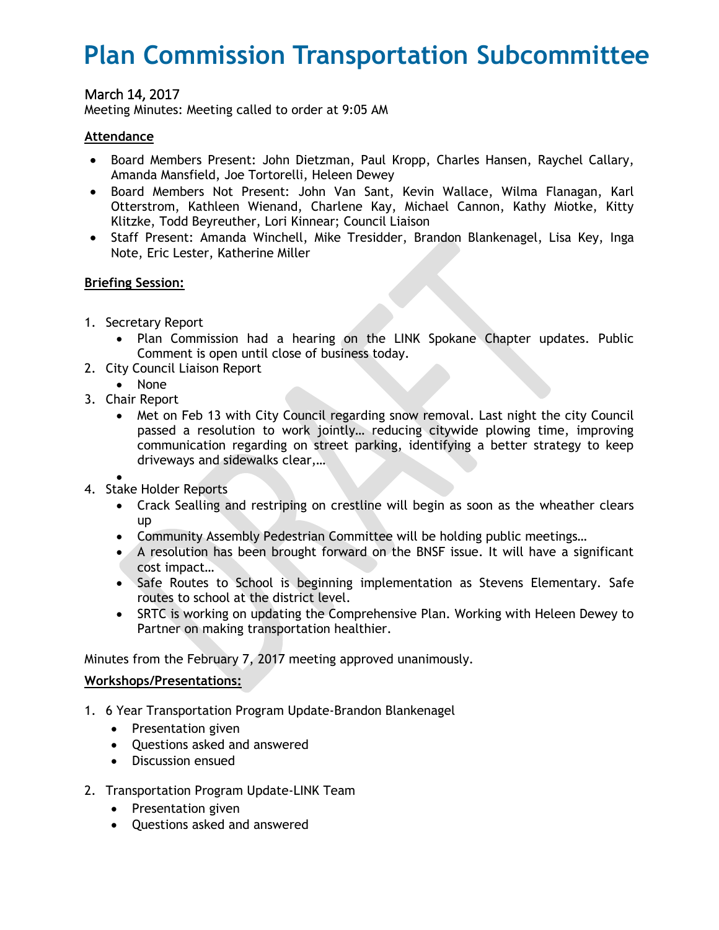# <span id="page-2-0"></span>**Plan Commission Transportation Subcommittee**

## March 14, 2017

Meeting Minutes: Meeting called to order at 9:05 AM

### **Attendance**

- Board Members Present: John Dietzman, Paul Kropp, Charles Hansen, Raychel Callary, Amanda Mansfield, Joe Tortorelli, Heleen Dewey
- Board Members Not Present: John Van Sant, Kevin Wallace, Wilma Flanagan, Karl Otterstrom, Kathleen Wienand, Charlene Kay, Michael Cannon, Kathy Miotke, Kitty Klitzke, Todd Beyreuther, Lori Kinnear; Council Liaison
- Staff Present: Amanda Winchell, Mike Tresidder, Brandon Blankenagel, Lisa Key, Inga Note, Eric Lester, Katherine Miller

### **Briefing Session:**

- 1. Secretary Report
	- Plan Commission had a hearing on the LINK Spokane Chapter updates. Public Comment is open until close of business today.
- 2. City Council Liaison Report
	- None
- 3. Chair Report
	- Met on Feb 13 with City Council regarding snow removal. Last night the city Council passed a resolution to work jointly… reducing citywide plowing time, improving communication regarding on street parking, identifying a better strategy to keep driveways and sidewalks clear,…
- $\bullet$ 4. Stake Holder Reports
	- Crack Sealling and restriping on crestline will begin as soon as the wheather clears up
	- Community Assembly Pedestrian Committee will be holding public meetings…
	- A resolution has been brought forward on the BNSF issue. It will have a significant cost impact…
	- Safe Routes to School is beginning implementation as Stevens Elementary. Safe routes to school at the district level.
	- SRTC is working on updating the Comprehensive Plan. Working with Heleen Dewey to Partner on making transportation healthier.

Minutes from the February 7, 2017 meeting approved unanimously.

#### **Workshops/Presentations:**

- 1. 6 Year Transportation Program Update-Brandon Blankenagel
	- Presentation given
	- Questions asked and answered
	- Discussion ensued
- 2. Transportation Program Update-LINK Team
	- Presentation given
	- Ouestions asked and answered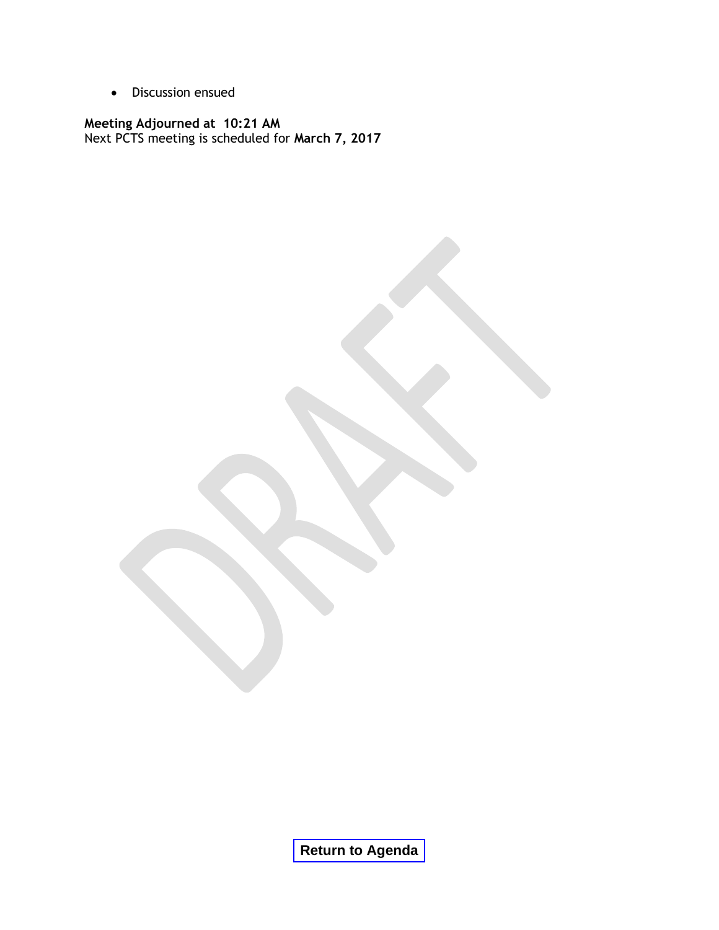**•** Discussion ensued

**Meeting Adjourned at 10:21 AM** Next PCTS meeting is scheduled for **March 7, 2017**

**Return to Agenda**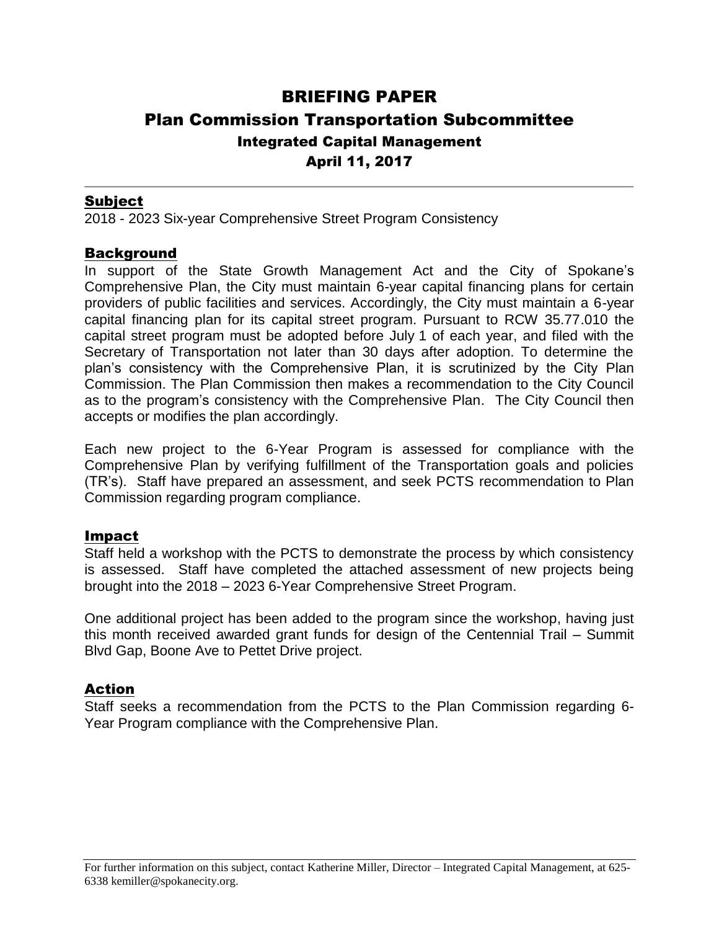# <span id="page-4-0"></span>BRIEFING PAPER Plan Commission Transportation Subcommittee Integrated Capital Management April 11, 2017

## Subject

2018 - 2023 Six-year Comprehensive Street Program Consistency

### Background

In support of the State Growth Management Act and the City of Spokane's Comprehensive Plan, the City must maintain 6-year capital financing plans for certain providers of public facilities and services. Accordingly, the City must maintain a 6-year capital financing plan for its capital street program. Pursuant to RCW 35.77.010 the capital street program must be adopted before July 1 of each year, and filed with the Secretary of Transportation not later than 30 days after adoption. To determine the plan's consistency with the Comprehensive Plan, it is scrutinized by the City Plan Commission. The Plan Commission then makes a recommendation to the City Council as to the program's consistency with the Comprehensive Plan. The City Council then accepts or modifies the plan accordingly.

Each new project to the 6-Year Program is assessed for compliance with the Comprehensive Plan by verifying fulfillment of the Transportation goals and policies (TR's). Staff have prepared an assessment, and seek PCTS recommendation to Plan Commission regarding program compliance.

### Impact

Staff held a workshop with the PCTS to demonstrate the process by which consistency is assessed. Staff have completed the attached assessment of new projects being brought into the 2018 – 2023 6-Year Comprehensive Street Program.

One additional project has been added to the program since the workshop, having just this month received awarded grant funds for design of the Centennial Trail – Summit Blvd Gap, Boone Ave to Pettet Drive project.

# Action

Staff seeks a recommendation from the PCTS to the Plan Commission regarding 6- Year Program compliance with the Comprehensive Plan.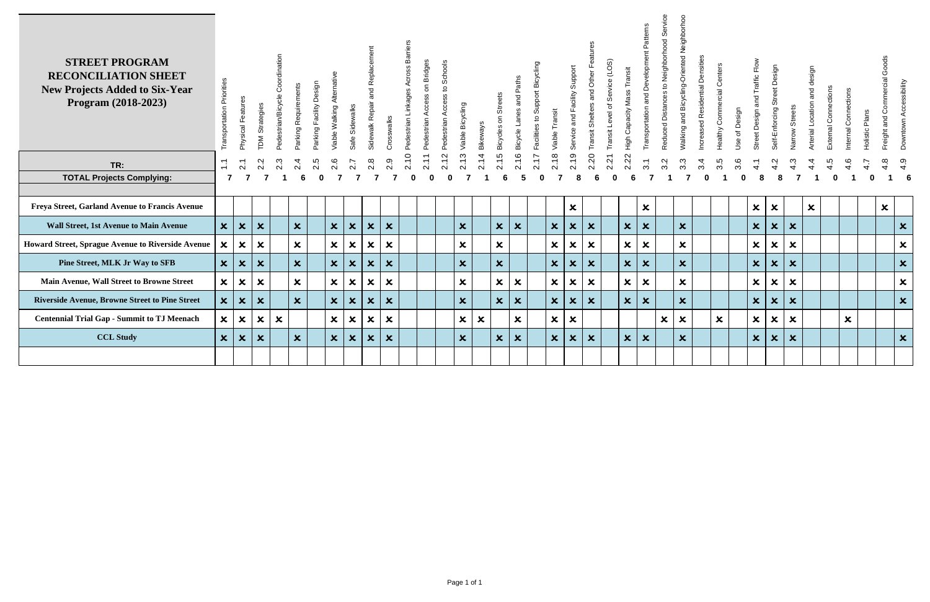| <b>STREET PROGRAM</b><br><b>RECONCILIATION SHEET</b><br><b>New Projects Added to Six-Year</b><br>Program (2018-2023) | Transportation Priorities | Features<br>Physical      | <b>TDM Strategies</b>             | Coor<br>Pedestrian/Bicycle | Parking Requireme         | Design<br>Parking Facility | Viable Walking Alternativ | Sidewalks<br>Safe         | and Repla<br>Sidewalk Repair | Crosswalks                | Pedestrian Linkages Across Barriers | <b>Bridges</b><br>$\mathsf{S}% _{T}=\mathsf{S}_{T}\!\left( a,b\right) ,\mathsf{S}_{T}=\mathsf{S}_{T}\!\left( a,b\right) ,\mathsf{S}_{T}=\mathsf{S}_{T}\!\left( a,b\right) ,$<br>ဖ<br>द<br>Pedestrian | Schools<br>$\Omega$<br>Pedestrian Access | Viable Bicycling          | Bikeways                  | Streets<br>$\overline{5}$<br>Bicycles | aths<br>$\frac{1}{2}$<br>anes<br>Bicycle | Support Bicy<br>$\mathbf{Q}$<br>Facilities | Transit<br>Viable <sup>-</sup> | acility Support<br>Service and F | atures<br>and Other Fe<br>Transit Shelters | Service (LOS)<br>৳<br>Level<br>Transit | Transit<br>High Capacity Mass | and Development<br>Transportation | Service<br>to Neighborhood<br>Reduced Distances | Neighborhoo<br>Valking and Bicycling-Oriented | ncreased Residential Densities | <b>Healthy Commercial Centers</b> | Jse of Design | Street Design and Traffic Flow | Design<br>Stre<br>Self-Enforcing | Narrow Streets            | and design<br><b>Arterial Location</b> | Connections<br>xternal | Connections<br>Internal   | <b>Holistic Plans</b> | Freight and Commercial Goods | Downtown Accessibility    |
|----------------------------------------------------------------------------------------------------------------------|---------------------------|---------------------------|-----------------------------------|----------------------------|---------------------------|----------------------------|---------------------------|---------------------------|------------------------------|---------------------------|-------------------------------------|------------------------------------------------------------------------------------------------------------------------------------------------------------------------------------------------------|------------------------------------------|---------------------------|---------------------------|---------------------------------------|------------------------------------------|--------------------------------------------|--------------------------------|----------------------------------|--------------------------------------------|----------------------------------------|-------------------------------|-----------------------------------|-------------------------------------------------|-----------------------------------------------|--------------------------------|-----------------------------------|---------------|--------------------------------|----------------------------------|---------------------------|----------------------------------------|------------------------|---------------------------|-----------------------|------------------------------|---------------------------|
| TR:                                                                                                                  | $\overline{1}$            | $\overline{\mathsf{N}}$   | $\sim$<br>$\overline{\mathsf{N}}$ | 2.3                        | 2.4                       | 2.5                        | 2.6                       | 2.7                       | 2.8                          | 2.9                       | 2.10                                | 2.11                                                                                                                                                                                                 | 2.12                                     | 2.13                      | 2.14                      | 2.15                                  | 2.16                                     | 2.17                                       | 2.18                           | 2.19                             | 2.20                                       | 2.21                                   | 2.22                          | $\overline{3}$ .                  | 3.2                                             | $3.\overline{3}$                              | 3.4                            | 3.5                               | 3.6           |                                | 4.2                              | S                         | 4                                      |                        | $4.\overline{6}$          | 4.7                   | $4.\overline{8}$             | 4.9                       |
| <b>TOTAL Projects Complying:</b>                                                                                     | 7                         |                           |                                   |                            |                           |                            |                           |                           |                              |                           | <sup>0</sup>                        | $\Omega$                                                                                                                                                                                             | n                                        |                           |                           |                                       |                                          |                                            |                                |                                  | ĥ                                          |                                        |                               |                                   |                                                 |                                               |                                |                                   |               |                                |                                  |                           |                                        |                        |                           |                       |                              |                           |
| Freya Street, Garland Avenue to Francis Avenue                                                                       |                           |                           |                                   |                            |                           |                            |                           |                           |                              |                           |                                     |                                                                                                                                                                                                      |                                          |                           |                           |                                       |                                          |                                            |                                | $\boldsymbol{\mathsf{x}}$        |                                            |                                        |                               | $\boldsymbol{\mathsf{x}}$         |                                                 |                                               |                                |                                   |               | $\boldsymbol{\mathsf{x}}$      | $\boldsymbol{\mathsf{x}}$        |                           | $\boldsymbol{\mathsf{x}}$              |                        |                           |                       | $\boldsymbol{\mathsf{x}}$    |                           |
| <b>Wall Street, 1st Avenue to Main Avenue</b>                                                                        | $\boldsymbol{\mathsf{x}}$ | $\boldsymbol{\mathsf{x}}$ | $\boldsymbol{\mathsf{x}}$         |                            | $\boldsymbol{\mathsf{x}}$ |                            | $\boldsymbol{\mathsf{x}}$ | $\boldsymbol{\mathsf{x}}$ | $\boldsymbol{\mathsf{x}}$    | $\boldsymbol{\mathsf{x}}$ |                                     |                                                                                                                                                                                                      |                                          | $\boldsymbol{\mathsf{x}}$ |                           | $\boldsymbol{\mathsf{x}}$             | $\boldsymbol{\mathsf{x}}$                |                                            | $\boldsymbol{\mathsf{x}}$      | $\boldsymbol{\mathsf{x}}$        | $\boldsymbol{\mathsf{x}}$                  |                                        | $\boldsymbol{\mathsf{x}}$     | $\boldsymbol{\mathsf{x}}$         |                                                 | $\boldsymbol{\mathsf{x}}$                     |                                |                                   |               | $\boldsymbol{\mathsf{x}}$      | $\boldsymbol{\mathsf{x}}$        | $\boldsymbol{\mathsf{x}}$ |                                        |                        |                           |                       |                              | $\boldsymbol{\mathsf{x}}$ |
| Howard Street, Sprague Avenue to Riverside Avenue                                                                    | $\boldsymbol{\mathsf{x}}$ | $\boldsymbol{\mathsf{x}}$ | $\boldsymbol{\mathsf{x}}$         |                            | $\mathbf{x}$              |                            | $\boldsymbol{\mathsf{x}}$ | $\boldsymbol{\mathsf{x}}$ | $\boldsymbol{\mathsf{x}}$    | $\boldsymbol{\mathsf{x}}$ |                                     |                                                                                                                                                                                                      |                                          | $\boldsymbol{\mathsf{x}}$ |                           | $\boldsymbol{\mathsf{x}}$             |                                          |                                            | $\boldsymbol{\mathsf{x}}$      | $\boldsymbol{\mathsf{x}}$        | $\boldsymbol{\mathsf{x}}$                  |                                        | $\boldsymbol{\mathsf{x}}$     | $\boldsymbol{\mathsf{x}}$         |                                                 | $\boldsymbol{\mathsf{x}}$                     |                                |                                   |               | $\boldsymbol{\mathsf{x}}$      | $\boldsymbol{\mathsf{x}}$        | $\boldsymbol{\mathsf{x}}$ |                                        |                        |                           |                       |                              | $\boldsymbol{\mathsf{x}}$ |
| <b>Pine Street, MLK Jr Way to SFB</b>                                                                                | $\boldsymbol{\mathsf{x}}$ | $\boldsymbol{\mathsf{x}}$ | $\boldsymbol{\mathsf{x}}$         |                            | $\boldsymbol{\mathsf{x}}$ |                            | $\overline{\mathbf{x}}$   | $\boldsymbol{\mathsf{x}}$ | $\boldsymbol{\mathsf{x}}$    | $\boldsymbol{\mathsf{x}}$ |                                     |                                                                                                                                                                                                      |                                          | $\boldsymbol{\mathsf{x}}$ |                           | $\boldsymbol{\mathsf{x}}$             |                                          |                                            | $\mathbf{x}$                   | $\boldsymbol{\mathsf{x}}$        | $\boldsymbol{\mathsf{x}}$                  |                                        | $\mathbf{x}$                  | $\mathbf{x}$                      |                                                 | $\boldsymbol{\mathsf{x}}$                     |                                |                                   |               | $\boldsymbol{\mathsf{x}}$      | $\boldsymbol{\mathsf{x}}$        | $\boldsymbol{\mathsf{x}}$ |                                        |                        |                           |                       |                              | $\boldsymbol{\mathsf{x}}$ |
| Main Avenue, Wall Street to Browne Street                                                                            | $\boldsymbol{\mathsf{x}}$ | $\boldsymbol{\mathsf{x}}$ | $\boldsymbol{\mathsf{x}}$         |                            | $\mathbf{x}$              |                            | $\boldsymbol{\mathsf{x}}$ | $\boldsymbol{\mathsf{x}}$ | $\boldsymbol{\mathsf{x}}$    | $\boldsymbol{\mathsf{x}}$ |                                     |                                                                                                                                                                                                      |                                          | $\boldsymbol{\mathsf{x}}$ |                           | $\boldsymbol{\mathsf{x}}$             | $\boldsymbol{\mathsf{x}}$                |                                            | $\boldsymbol{\mathsf{x}}$      | $\boldsymbol{\mathsf{x}}$        | $\boldsymbol{\mathsf{x}}$                  |                                        | $\boldsymbol{\mathsf{x}}$     | $\boldsymbol{\mathsf{x}}$         |                                                 | $\boldsymbol{\mathsf{x}}$                     |                                |                                   |               | $\boldsymbol{\mathsf{x}}$      | $\boldsymbol{\mathsf{x}}$        | $\boldsymbol{\mathsf{x}}$ |                                        |                        |                           |                       |                              | $\boldsymbol{\mathsf{x}}$ |
| <b>Riverside Avenue, Browne Street to Pine Street</b>                                                                | $\boldsymbol{\mathsf{x}}$ | $\boldsymbol{\mathsf{x}}$ | $\boldsymbol{\mathsf{x}}$         |                            | $\boldsymbol{\mathsf{x}}$ |                            | $\boldsymbol{\mathsf{x}}$ | $\boldsymbol{\mathsf{x}}$ | $\boldsymbol{\mathsf{x}}$    | $\boldsymbol{\mathsf{x}}$ |                                     |                                                                                                                                                                                                      |                                          | $\boldsymbol{\mathsf{x}}$ |                           | $\boldsymbol{\mathsf{x}}$             | $\boldsymbol{\mathsf{x}}$                |                                            | $\mathbf{x}$                   | $\boldsymbol{\mathsf{x}}$        | $\boldsymbol{\mathsf{x}}$                  |                                        | $\boldsymbol{\mathsf{x}}$     | $\boldsymbol{\mathsf{x}}$         |                                                 | $\boldsymbol{\mathsf{x}}$                     |                                |                                   |               | $\boldsymbol{\mathsf{x}}$      | $\boldsymbol{\mathsf{x}}$        | $\boldsymbol{\mathsf{x}}$ |                                        |                        |                           |                       |                              | $\boldsymbol{\mathsf{x}}$ |
| <b>Centennial Trial Gap - Summit to TJ Meenach</b>                                                                   | $\boldsymbol{\mathsf{x}}$ | $\boldsymbol{\mathsf{x}}$ | $\boldsymbol{\mathsf{x}}$         | $\boldsymbol{\mathsf{x}}$  |                           |                            | $\boldsymbol{\mathsf{x}}$ | $\boldsymbol{\mathsf{x}}$ | $\boldsymbol{\mathsf{x}}$    | $\boldsymbol{\mathsf{x}}$ |                                     |                                                                                                                                                                                                      |                                          | $\boldsymbol{\mathsf{x}}$ | $\boldsymbol{\mathsf{x}}$ |                                       | $\boldsymbol{\mathsf{x}}$                |                                            | $\boldsymbol{\mathsf{x}}$      | $\boldsymbol{\mathsf{x}}$        |                                            |                                        |                               |                                   | $\boldsymbol{\mathsf{x}}$                       | $\boldsymbol{\mathsf{x}}$                     |                                | $\mathbf{x}$                      |               | $\boldsymbol{\mathsf{x}}$      | $\boldsymbol{\mathsf{x}}$        | $\boldsymbol{\mathsf{x}}$ |                                        |                        | $\boldsymbol{\mathsf{x}}$ |                       |                              |                           |
| <b>CCL Study</b>                                                                                                     | $\boldsymbol{\mathsf{x}}$ | $\boldsymbol{\mathsf{x}}$ | $\boldsymbol{\mathsf{x}}$         |                            | $\boldsymbol{\mathsf{x}}$ |                            | $\boldsymbol{\mathsf{x}}$ | $\boldsymbol{\mathsf{x}}$ | $\boldsymbol{\mathsf{x}}$    | $\boldsymbol{\mathsf{x}}$ |                                     |                                                                                                                                                                                                      |                                          | $\boldsymbol{\mathsf{x}}$ |                           | $\boldsymbol{\mathsf{x}}$             | $\boldsymbol{\mathsf{x}}$                |                                            | $\mathbf{x}$                   | $\boldsymbol{\mathsf{x}}$        | $\mathbf{x}$                               |                                        | $\boldsymbol{\mathsf{x}}$     | $\boldsymbol{\mathsf{x}}$         |                                                 | $\boldsymbol{\mathsf{x}}$                     |                                |                                   |               | $\boldsymbol{\mathsf{x}}$      | $\boldsymbol{\mathsf{x}}$        | $\boldsymbol{\mathsf{x}}$ |                                        |                        |                           |                       |                              | $\mathbf{x}$              |
|                                                                                                                      |                           |                           |                                   |                            |                           |                            |                           |                           |                              |                           |                                     |                                                                                                                                                                                                      |                                          |                           |                           |                                       |                                          |                                            |                                |                                  |                                            |                                        |                               |                                   |                                                 |                                               |                                |                                   |               |                                |                                  |                           |                                        |                        |                           |                       |                              |                           |

 $\overline{a}$